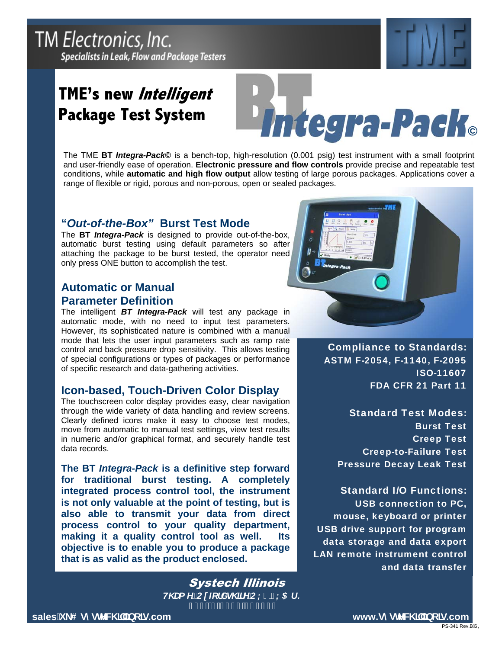## **TM Electronics, Inc. Specialists in Leak, Flow and Package Testers**

# **TME's new Intelligent Package Test System**



The TME **BT** *Integra-Pack***©** is a bench-top, high-resolution (0.001 psig) test instrument with a small footprint and user-friendly ease of operation. **Electronic pressure and flow controls** provide precise and repeatable test conditions, while **automatic and high flow output** allow testing of large porous packages. Applications cover a range of flexible or rigid, porous and non-porous, open or sealed packages.

## **"***Out-of-the-Box"* **Burst Test Mode**

The **BT** *Integra-Pack* is designed to provide out-of-the-box, automatic burst testing using default parameters so after attaching the package to be burst tested, the operator need only press ONE button to accomplish the test.

### **Automatic or Manual Parameter Definition**

The intelligent *BT Integra-Pack* will test any package in automatic mode, with no need to input test parameters. However, its sophisticated nature is combined with a manual mode that lets the user input parameters such as ramp rate control and back pressure drop sensitivity. This allows testing of special configurations or types of packages or performance of specific research and data-gathering activities.

## **Icon-based, Touch-Driven Color Display**

The touchscreen color display provides easy, clear navigation through the wide variety of data handling and review screens. Clearly defined icons make it easy to choose test modes, move from automatic to manual test settings, view test results in numeric and/or graphical format, and securely handle test data records.

**The BT** *Integra-Pack* **is a definitive step forward for traditional burst testing. A completely integrated process control tool, the instrument is not only valuable at the point of testing, but is also able to transmit your data from direct process control to your quality department, making it a quality control tool as well. Its objective is to enable you to produce a package that is as valid as the product enclosed.** 

> Systech Illinois *H*i Ua Yį̃Ci ZcfXg\ ]fYCL- " L5 U? Z((*`f\$Ł%* ((`&%,',



Compliance to Standards: ASTM F-2054, F-1140, F-2095 ISO-11607 FDA CFR 21 Part 11

Standard Test Modes: Burst Test Creep Test Creep-to-Failure Test Pressure Decay Leak Test

Standard I/O Functions: USB connection to PC, mouse, keyboard or printer USB drive support for program data storage and data export LAN remote instrument control and data transfer

 $PS-341$  Rev  $BAD$